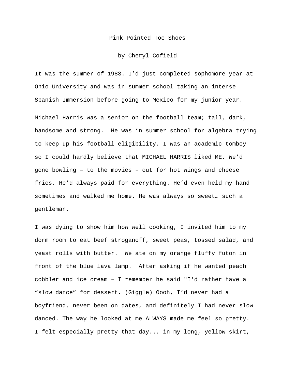## Pink Pointed Toe Shoes

## by Cheryl Cofield

It was the summer of 1983. I'd just completed sophomore year at Ohio University and was in summer school taking an intense Spanish Immersion before going to Mexico for my junior year.

Michael Harris was a senior on the football team; tall, dark, handsome and strong. He was in summer school for algebra trying to keep up his football eligibility. I was an academic tomboy so I could hardly believe that MICHAEL HARRIS liked ME. We'd gone bowling – to the movies – out for hot wings and cheese fries. He'd always paid for everything. He'd even held my hand sometimes and walked me home. He was always so sweet… such a gentleman.

I was dying to show him how well cooking, I invited him to my dorm room to eat beef stroganoff, sweet peas, tossed salad, and yeast rolls with butter. We ate on my orange fluffy futon in front of the blue lava lamp. After asking if he wanted peach cobbler and ice cream – I remember he said "I'd rather have a "slow dance" for dessert. (Giggle) Oooh, I'd never had a boyfriend, never been on dates, and definitely I had never slow danced. The way he looked at me ALWAYS made me feel so pretty. I felt especially pretty that day... in my long, yellow skirt,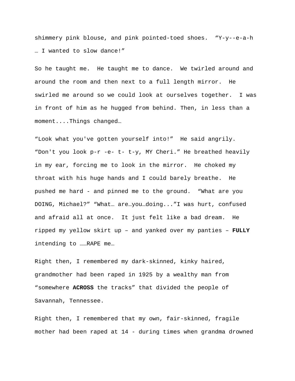shimmery pink blouse, and pink pointed-toed shoes. "Y-y--e-a-h … I wanted to slow dance!"

So he taught me. He taught me to dance. We twirled around and around the room and then next to a full length mirror. He swirled me around so we could look at ourselves together. I was in front of him as he hugged from behind. Then, in less than a moment....Things changed…

"Look what you've gotten yourself into!" He said angrily. "Don't you look p-r -e- t- t-y, MY Cheri." He breathed heavily in my ear, forcing me to look in the mirror. He choked my throat with his huge hands and I could barely breathe. He pushed me hard - and pinned me to the ground. "What are you DOING, Michael?" "What… are…you…doing..."I was hurt, confused and afraid all at once. It just felt like a bad dream. He ripped my yellow skirt up – and yanked over my panties – **FULLY** intending to ……RAPE me…

Right then, I remembered my dark-skinned, kinky haired, grandmother had been raped in 1925 by a wealthy man from "somewhere **ACROSS** the tracks" that divided the people of Savannah, Tennessee.

Right then, I remembered that my own, fair-skinned, fragile mother had been raped at 14 - during times when grandma drowned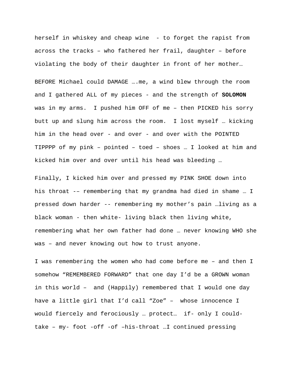herself in whiskey and cheap wine - to forget the rapist from across the tracks – who fathered her frail, daughter – before violating the body of their daughter in front of her mother…

BEFORE Michael could DAMAGE ….me, a wind blew through the room and I gathered ALL of my pieces - and the strength of **SOLOMON** was in my arms. I pushed him OFF of me – then PICKED his sorry butt up and slung him across the room. I lost myself … kicking him in the head over - and over - and over with the POINTED TIPPPP of my pink – pointed – toed – shoes … I looked at him and kicked him over and over until his head was bleeding …

Finally, I kicked him over and pressed my PINK SHOE down into his throat -– remembering that my grandma had died in shame … I pressed down harder -- remembering my mother's pain …living as a black woman - then white- living black then living white, remembering what her own father had done … never knowing WHO she was – and never knowing out how to trust anyone.

I was remembering the women who had come before me – and then I somehow "REMEMBERED FORWARD" that one day I'd be a GROWN woman in this world – and (Happily) remembered that I would one day have a little girl that I'd call "Zoe" – whose innocence I would fiercely and ferociously ... protect... if- only I couldtake – my- foot -off -of –his-throat …I continued pressing